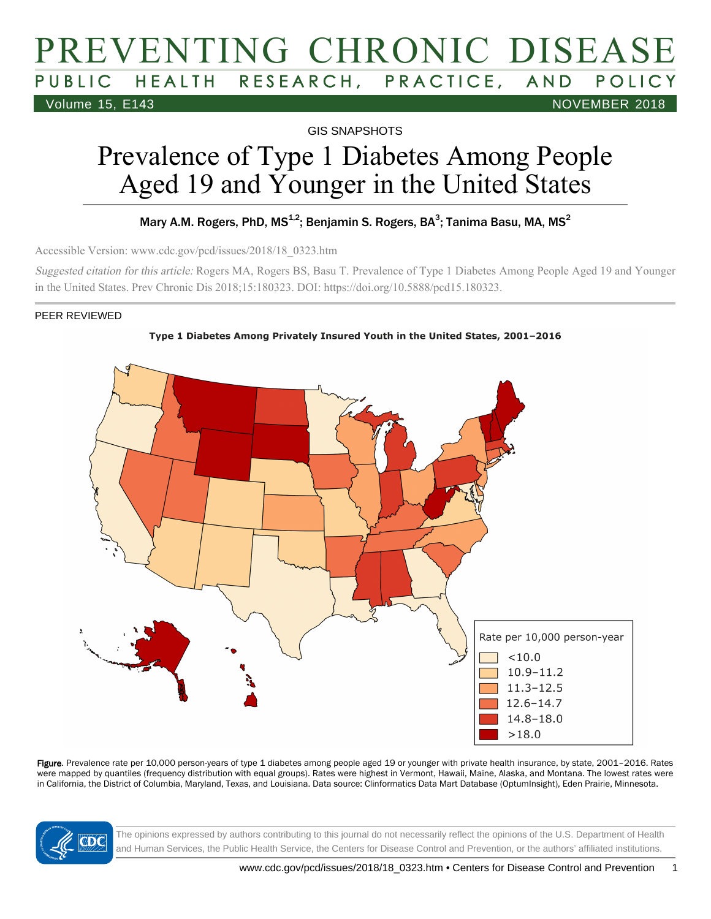# PREVENTING CHRONIC DISEASE PUBLIC HEALTH RESEARCH, PRACTICE, AND Volume 15, E143 NOVEMBER 2018

GIS SNAPSHOTS

# Prevalence of Type 1 Diabetes Among People Aged 19 and Younger in the United States

#### Mary A.M. Rogers, PhD, MS<sup>1,2</sup>; Benjamin S. Rogers, BA<sup>3</sup>; Tanima Basu, MA, MS<sup>2</sup>

Accessible Version: www.cdc.gov/pcd/issues/2018/18\_0323.htm

Suggested citation for this article: Rogers MA, Rogers BS, Basu T. Prevalence of Type 1 Diabetes Among People Aged 19 and Younger in the United States. Prev Chronic Dis 2018;15:180323. DOI: https://doi.org/10.5888/pcd15.180323.

#### PEER REVIEWED





Figure. Prevalence rate per 10,000 person-years of type 1 diabetes among people aged 19 or younger with private health insurance, by state, 2001-2016. Rates were mapped by quantiles (frequency distribution with equal groups). Rates were highest in Vermont, Hawaii, Maine, Alaska, and Montana. The lowest rates were in California, the District of Columbia, Maryland, Texas, and Louisiana. Data source: Clinformatics Data Mart Database (OptumInsight), Eden Prairie, Minnesota.



The opinions expressed by authors contributing to this journal do not necessarily reflect the opinions of the U.S. Department of Health and Human Services, the Public Health Service, the Centers for Disease Control and Prevention, or the authors' affiliated institutions.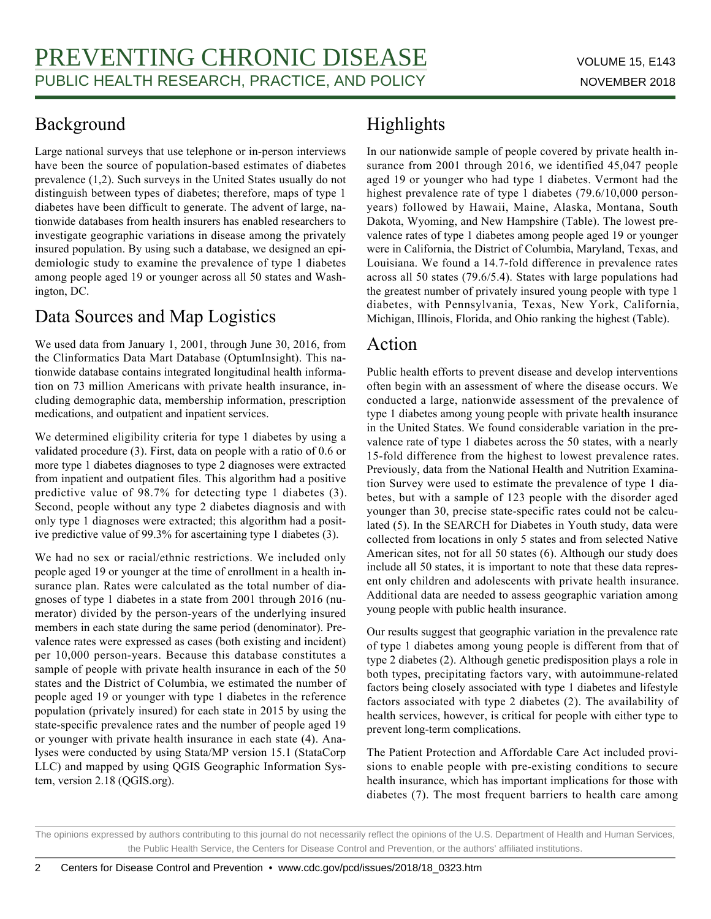### Background

Large national surveys that use telephone or in-person interviews have been the source of population-based estimates of diabetes prevalence (1,2). Such surveys in the United States usually do not distinguish between types of diabetes; therefore, maps of type 1 diabetes have been difficult to generate. The advent of large, nationwide databases from health insurers has enabled researchers to investigate geographic variations in disease among the privately insured population. By using such a database, we designed an epidemiologic study to examine the prevalence of type 1 diabetes among people aged 19 or younger across all 50 states and Washington, DC.

### Data Sources and Map Logistics

We used data from January 1, 2001, through June 30, 2016, from the Clinformatics Data Mart Database (OptumInsight). This nationwide database contains integrated longitudinal health information on 73 million Americans with private health insurance, including demographic data, membership information, prescription medications, and outpatient and inpatient services.

We determined eligibility criteria for type 1 diabetes by using a validated procedure (3). First, data on people with a ratio of 0.6 or more type 1 diabetes diagnoses to type 2 diagnoses were extracted from inpatient and outpatient files. This algorithm had a positive predictive value of 98.7% for detecting type 1 diabetes (3). Second, people without any type 2 diabetes diagnosis and with only type 1 diagnoses were extracted; this algorithm had a positive predictive value of 99.3% for ascertaining type 1 diabetes (3).

We had no sex or racial/ethnic restrictions. We included only people aged 19 or younger at the time of enrollment in a health insurance plan. Rates were calculated as the total number of diagnoses of type 1 diabetes in a state from 2001 through 2016 (numerator) divided by the person-years of the underlying insured members in each state during the same period (denominator). Prevalence rates were expressed as cases (both existing and incident) per 10,000 person-years. Because this database constitutes a sample of people with private health insurance in each of the 50 states and the District of Columbia, we estimated the number of people aged 19 or younger with type 1 diabetes in the reference population (privately insured) for each state in 2015 by using the state-specific prevalence rates and the number of people aged 19 or younger with private health insurance in each state (4). Analyses were conducted by using Stata/MP version 15.1 (StataCorp LLC) and mapped by using QGIS Geographic Information System, version 2.18 (QGIS.org).

## Highlights

In our nationwide sample of people covered by private health insurance from 2001 through 2016, we identified 45,047 people aged 19 or younger who had type 1 diabetes. Vermont had the highest prevalence rate of type 1 diabetes (79.6/10,000 personyears) followed by Hawaii, Maine, Alaska, Montana, South Dakota, Wyoming, and New Hampshire (Table). The lowest prevalence rates of type 1 diabetes among people aged 19 or younger were in California, the District of Columbia, Maryland, Texas, and Louisiana. We found a 14.7-fold difference in prevalence rates across all 50 states (79.6/5.4). States with large populations had the greatest number of privately insured young people with type 1 diabetes, with Pennsylvania, Texas, New York, California, Michigan, Illinois, Florida, and Ohio ranking the highest (Table).

#### Action

Public health efforts to prevent disease and develop interventions often begin with an assessment of where the disease occurs. We conducted a large, nationwide assessment of the prevalence of type 1 diabetes among young people with private health insurance in the United States. We found considerable variation in the prevalence rate of type 1 diabetes across the 50 states, with a nearly 15-fold difference from the highest to lowest prevalence rates. Previously, data from the National Health and Nutrition Examination Survey were used to estimate the prevalence of type 1 diabetes, but with a sample of 123 people with the disorder aged younger than 30, precise state-specific rates could not be calculated (5). In the SEARCH for Diabetes in Youth study, data were collected from locations in only 5 states and from selected Native American sites, not for all 50 states (6). Although our study does include all 50 states, it is important to note that these data represent only children and adolescents with private health insurance. Additional data are needed to assess geographic variation among young people with public health insurance.

Our results suggest that geographic variation in the prevalence rate of type 1 diabetes among young people is different from that of type 2 diabetes (2). Although genetic predisposition plays a role in both types, precipitating factors vary, with autoimmune-related factors being closely associated with type 1 diabetes and lifestyle factors associated with type 2 diabetes (2). The availability of health services, however, is critical for people with either type to prevent long-term complications.

The Patient Protection and Affordable Care Act included provisions to enable people with pre-existing conditions to secure health insurance, which has important implications for those with diabetes (7). The most frequent barriers to health care among

The opinions expressed by authors contributing to this journal do not necessarily reflect the opinions of the U.S. Department of Health and Human Services, the Public Health Service, the Centers for Disease Control and Prevention, or the authors' affiliated institutions.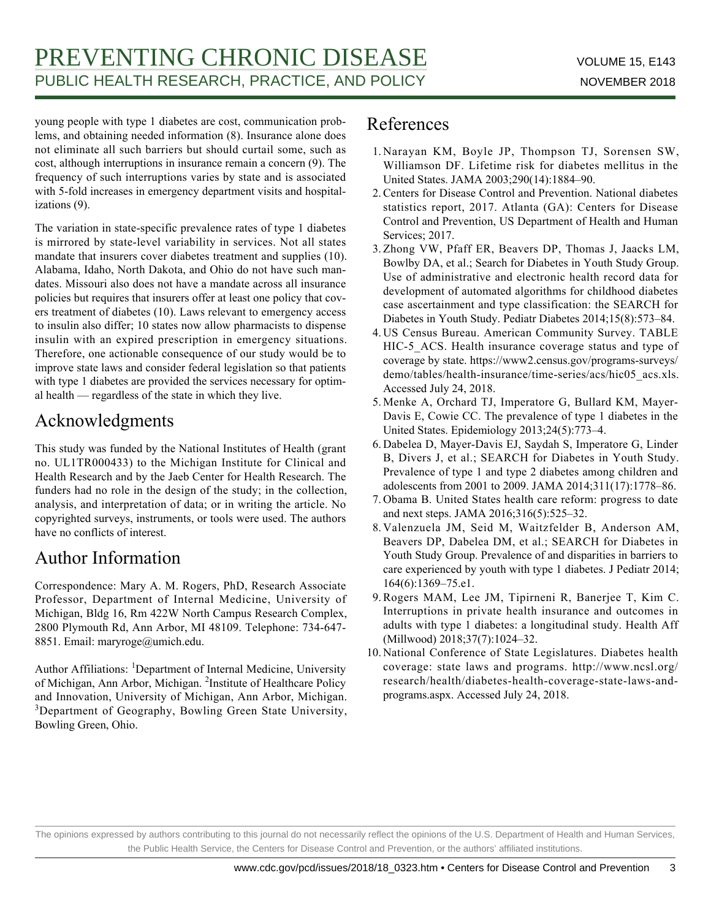young people with type 1 diabetes are cost, communication problems, and obtaining needed information (8). Insurance alone does not eliminate all such barriers but should curtail some, such as cost, although interruptions in insurance remain a concern (9). The frequency of such interruptions varies by state and is associated with 5-fold increases in emergency department visits and hospitalizations (9).

The variation in state-specific prevalence rates of type 1 diabetes is mirrored by state-level variability in services. Not all states mandate that insurers cover diabetes treatment and supplies (10). Alabama, Idaho, North Dakota, and Ohio do not have such mandates. Missouri also does not have a mandate across all insurance policies but requires that insurers offer at least one policy that covers treatment of diabetes (10). Laws relevant to emergency access to insulin also differ; 10 states now allow pharmacists to dispense insulin with an expired prescription in emergency situations. Therefore, one actionable consequence of our study would be to improve state laws and consider federal legislation so that patients with type 1 diabetes are provided the services necessary for optimal health — regardless of the state in which they live.

### Acknowledgments

This study was funded by the National Institutes of Health (grant no. UL1TR000433) to the Michigan Institute for Clinical and Health Research and by the Jaeb Center for Health Research. The funders had no role in the design of the study; in the collection, analysis, and interpretation of data; or in writing the article. No copyrighted surveys, instruments, or tools were used. The authors have no conflicts of interest.

### Author Information

Correspondence: Mary A. M. Rogers, PhD, Research Associate Professor, Department of Internal Medicine, University of Michigan, Bldg 16, Rm 422W North Campus Research Complex, 2800 Plymouth Rd, Ann Arbor, MI 48109. Telephone: 734-647- 8851. Email: maryroge@umich.edu.

Author Affiliations: <sup>1</sup>Department of Internal Medicine, University of Michigan, Ann Arbor, Michigan. <sup>2</sup>Institute of Healthcare Policy and Innovation, University of Michigan, Ann Arbor, Michigan. <sup>3</sup>Department of Geography, Bowling Green State University, Bowling Green, Ohio.

#### References

- 1. Narayan KM, Boyle JP, Thompson TJ, Sorensen SW, Williamson DF. Lifetime risk for diabetes mellitus in the United States. JAMA 2003;290(14):1884–90.
- 2. Centers for Disease Control and Prevention. National diabetes statistics report, 2017. Atlanta (GA): Centers for Disease Control and Prevention, US Department of Health and Human Services; 2017.
- 3. Zhong VW, Pfaff ER, Beavers DP, Thomas J, Jaacks LM, Bowlby DA, et al.; Search for Diabetes in Youth Study Group. Use of administrative and electronic health record data for development of automated algorithms for childhood diabetes case ascertainment and type classification: the SEARCH for Diabetes in Youth Study. Pediatr Diabetes 2014;15(8):573–84.
- US Census Bureau. American Community Survey. TABLE 4. HIC-5\_ACS. Health insurance coverage status and type of coverage by state. https://www2.census.gov/programs-surveys/ demo/tables/health-insurance/time-series/acs/hic05\_acs.xls. Accessed July 24, 2018.
- 5. Menke A, Orchard TJ, Imperatore G, Bullard KM, Mayer-Davis E, Cowie CC. The prevalence of type 1 diabetes in the United States. Epidemiology 2013;24(5):773–4.
- 6. Dabelea D, Mayer-Davis EJ, Saydah S, Imperatore G, Linder B, Divers J, et al.; SEARCH for Diabetes in Youth Study. Prevalence of type 1 and type 2 diabetes among children and adolescents from 2001 to 2009. JAMA 2014;311(17):1778–86.
- 7. Obama B. United States health care reform: progress to date and next steps. JAMA 2016;316(5):525–32.
- 8. Valenzuela JM, Seid M, Waitzfelder B, Anderson AM, Beavers DP, Dabelea DM, et al.; SEARCH for Diabetes in Youth Study Group. Prevalence of and disparities in barriers to care experienced by youth with type 1 diabetes. J Pediatr 2014; 164(6):1369–75.e1.
- 9. Rogers MAM, Lee JM, Tipirneni R, Banerjee T, Kim C. Interruptions in private health insurance and outcomes in adults with type 1 diabetes: a longitudinal study. Health Aff (Millwood) 2018;37(7):1024–32.
- 10. National Conference of State Legislatures. Diabetes health coverage: state laws and programs. http://www.ncsl.org/ research/health/diabetes-health-coverage-state-laws-andprograms.aspx. Accessed July 24, 2018.

The opinions expressed by authors contributing to this journal do not necessarily reflect the opinions of the U.S. Department of Health and Human Services, the Public Health Service, the Centers for Disease Control and Prevention, or the authors' affiliated institutions.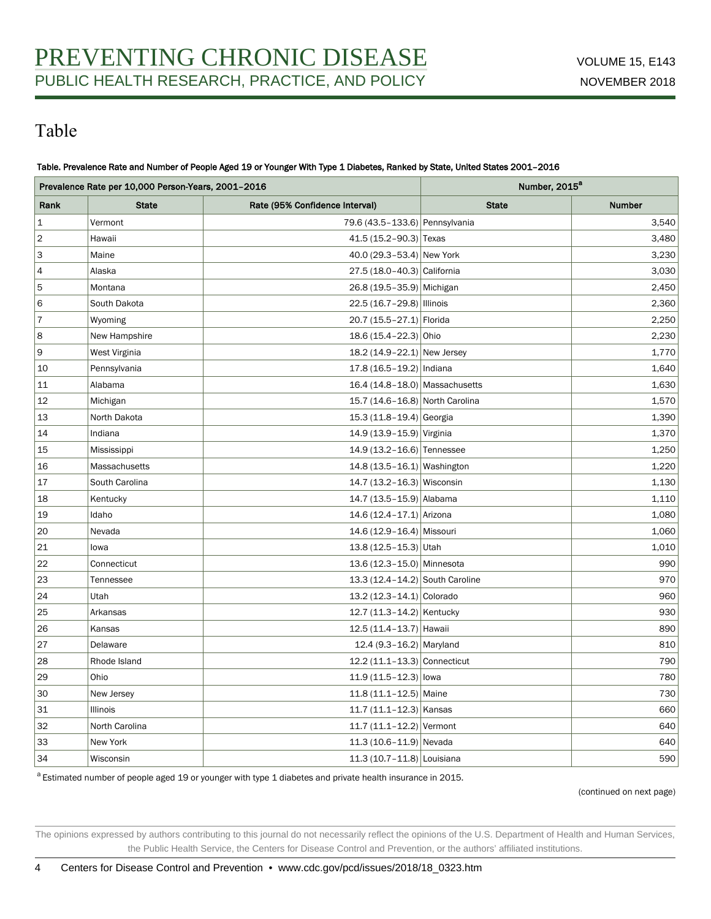### Table

#### Table. Prevalence Rate and Number of People Aged 19 or Younger With Type 1 Diabetes, Ranked by State, United States 2001–2016

| Prevalence Rate per 10,000 Person-Years, 2001-2016 |                |                                 | Number, 2015 <sup>a</sup> |        |
|----------------------------------------------------|----------------|---------------------------------|---------------------------|--------|
| Rank                                               | <b>State</b>   | Rate (95% Confidence Interval)  | <b>State</b>              | Number |
| $\mathbf 1$                                        | Vermont        | 79.6 (43.5-133.6) Pennsylvania  |                           | 3,540  |
| $\overline{2}$                                     | Hawaii         | 41.5 (15.2-90.3) Texas          |                           | 3,480  |
| 3                                                  | Maine          | 40.0 (29.3-53.4) New York       |                           | 3,230  |
| $\overline{4}$                                     | Alaska         | 27.5 (18.0-40.3) California     |                           | 3,030  |
| 5                                                  | Montana        | 26.8 (19.5-35.9) Michigan       |                           | 2,450  |
| 6                                                  | South Dakota   | 22.5 (16.7-29.8) Illinois       |                           | 2,360  |
| $\overline{7}$                                     | Wyoming        | 20.7 (15.5-27.1) Florida        |                           | 2,250  |
| 8                                                  | New Hampshire  | 18.6 (15.4-22.3) Ohio           |                           | 2,230  |
| 9                                                  | West Virginia  | 18.2 (14.9-22.1) New Jersey     |                           | 1,770  |
| 10                                                 | Pennsylvania   | 17.8 (16.5-19.2) Indiana        |                           | 1,640  |
| 11                                                 | Alabama        | 16.4 (14.8-18.0) Massachusetts  |                           | 1,630  |
| 12                                                 | Michigan       | 15.7 (14.6-16.8) North Carolina |                           | 1,570  |
| 13                                                 | North Dakota   | 15.3 (11.8-19.4) Georgia        |                           | 1,390  |
| 14                                                 | Indiana        | 14.9 (13.9-15.9) Virginia       |                           | 1,370  |
| 15                                                 | Mississippi    | 14.9 (13.2-16.6) Tennessee      |                           | 1,250  |
| 16                                                 | Massachusetts  | 14.8 (13.5-16.1) Washington     |                           | 1,220  |
| 17                                                 | South Carolina | 14.7 (13.2-16.3) Wisconsin      |                           | 1,130  |
| 18                                                 | Kentucky       | 14.7 (13.5-15.9) Alabama        |                           | 1,110  |
| 19                                                 | Idaho          | 14.6 (12.4-17.1) Arizona        |                           | 1,080  |
| 20                                                 | Nevada         | 14.6 (12.9-16.4) Missouri       |                           | 1,060  |
| 21                                                 | lowa           | $13.8(12.5 - 15.3)$ Utah        |                           | 1,010  |
| 22                                                 | Connecticut    | 13.6 (12.3-15.0) Minnesota      |                           | 990    |
| 23                                                 | Tennessee      | 13.3 (12.4-14.2) South Caroline |                           | 970    |
| 24                                                 | Utah           | 13.2 (12.3-14.1) Colorado       |                           | 960    |
| 25                                                 | Arkansas       | 12.7 (11.3-14.2) Kentucky       |                           | 930    |
| 26                                                 | Kansas         | 12.5 (11.4-13.7) Hawaii         |                           | 890    |
| 27                                                 | Delaware       | 12.4 (9.3-16.2) Maryland        |                           | 810    |
| 28                                                 | Rhode Island   | 12.2 (11.1-13.3) Connecticut    |                           | 790    |
| 29                                                 | Ohio           | $11.9(11.5 - 12.3)$ lowa        |                           | 780    |
| 30                                                 | New Jersey     | 11.8 (11.1-12.5) Maine          |                           | 730    |
| 31                                                 | Illinois       | $11.7 (11.1 - 12.3)$ Kansas     |                           | 660    |
| 32                                                 | North Carolina | 11.7 (11.1-12.2) Vermont        |                           | 640    |
| 33                                                 | New York       | $11.3(10.6 - 11.9)$ Nevada      |                           | 640    |
| 34                                                 | Wisconsin      | 11.3 (10.7-11.8) Louisiana      |                           | 590    |

 $^a$  Estimated number of people aged 19 or younger with type 1 diabetes and private health insurance in 2015.

(continued on next page)

The opinions expressed by authors contributing to this journal do not necessarily reflect the opinions of the U.S. Department of Health and Human Services, the Public Health Service, the Centers for Disease Control and Prevention, or the authors' affiliated institutions.